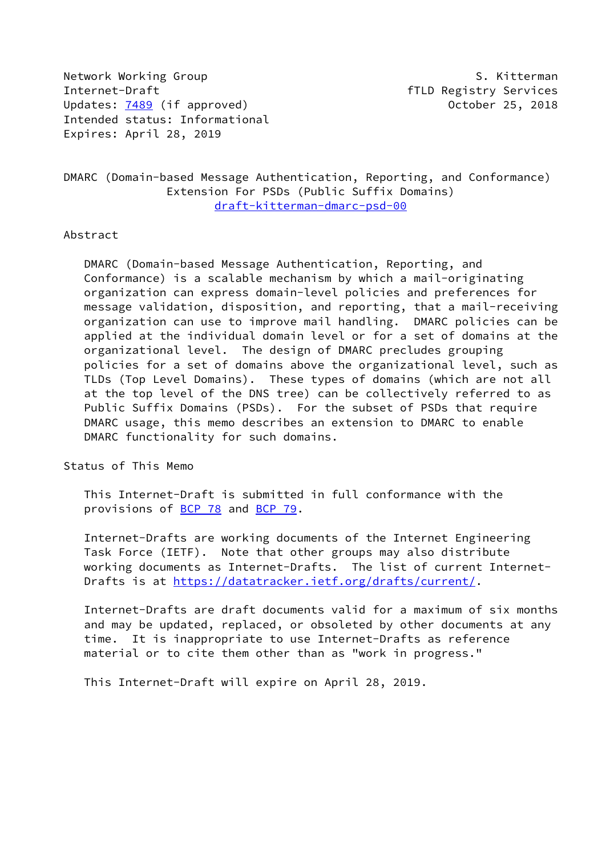Network Working Group S. Kitterman Internet-Draft fTLD Registry Services Updates: [7489](https://datatracker.ietf.org/doc/pdf/rfc7489) (if approved) 0ctober 25, 2018 Intended status: Informational Expires: April 28, 2019

# DMARC (Domain-based Message Authentication, Reporting, and Conformance) Extension For PSDs (Public Suffix Domains) [draft-kitterman-dmarc-psd-00](https://datatracker.ietf.org/doc/pdf/draft-kitterman-dmarc-psd-00)

### Abstract

 DMARC (Domain-based Message Authentication, Reporting, and Conformance) is a scalable mechanism by which a mail-originating organization can express domain-level policies and preferences for message validation, disposition, and reporting, that a mail-receiving organization can use to improve mail handling. DMARC policies can be applied at the individual domain level or for a set of domains at the organizational level. The design of DMARC precludes grouping policies for a set of domains above the organizational level, such as TLDs (Top Level Domains). These types of domains (which are not all at the top level of the DNS tree) can be collectively referred to as Public Suffix Domains (PSDs). For the subset of PSDs that require DMARC usage, this memo describes an extension to DMARC to enable DMARC functionality for such domains.

Status of This Memo

 This Internet-Draft is submitted in full conformance with the provisions of [BCP 78](https://datatracker.ietf.org/doc/pdf/bcp78) and [BCP 79](https://datatracker.ietf.org/doc/pdf/bcp79).

 Internet-Drafts are working documents of the Internet Engineering Task Force (IETF). Note that other groups may also distribute working documents as Internet-Drafts. The list of current Internet- Drafts is at<https://datatracker.ietf.org/drafts/current/>.

 Internet-Drafts are draft documents valid for a maximum of six months and may be updated, replaced, or obsoleted by other documents at any time. It is inappropriate to use Internet-Drafts as reference material or to cite them other than as "work in progress."

This Internet-Draft will expire on April 28, 2019.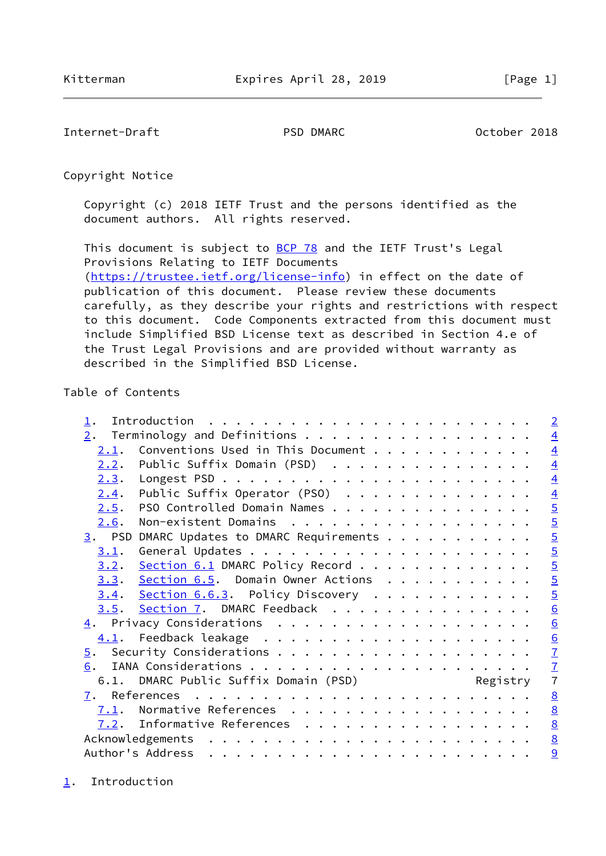<span id="page-1-1"></span>Internet-Draft PSD DMARC October 2018

Copyright Notice

 Copyright (c) 2018 IETF Trust and the persons identified as the document authors. All rights reserved.

This document is subject to **[BCP 78](https://datatracker.ietf.org/doc/pdf/bcp78)** and the IETF Trust's Legal Provisions Relating to IETF Documents [\(https://trustee.ietf.org/license-info](https://trustee.ietf.org/license-info)) in effect on the date of publication of this document. Please review these documents carefully, as they describe your rights and restrictions with respect to this document. Code Components extracted from this document must include Simplified BSD License text as described in Section 4.e of the Trust Legal Provisions and are provided without warranty as described in the Simplified BSD License.

## Table of Contents

<span id="page-1-0"></span>

| $\perp$ . |                                                           | $\overline{2}$  |
|-----------|-----------------------------------------------------------|-----------------|
| 2.        | Terminology and Definitions                               | $\overline{4}$  |
| 2.1.      | Conventions Used in This Document                         | $\overline{4}$  |
| 2.2.      | Public Suffix Domain (PSD)                                | $\overline{4}$  |
| 2.3.      |                                                           | $\overline{4}$  |
| 2.4.      | Public Suffix Operator (PSO)                              | $\overline{4}$  |
| 2.5.      | PSO Controlled Domain Names                               |                 |
| 2.6.      | Non-existent Domains                                      | $\frac{5}{2}$   |
|           | $\underline{3}$ . PSD DMARC Updates to DMARC Requirements |                 |
| 3.1.      |                                                           | $\overline{5}$  |
|           | 3.2. Section 6.1 DMARC Policy Record                      | $\overline{5}$  |
|           | 3.3. Section 6.5. Domain Owner Actions                    | $\overline{5}$  |
|           | $3.4.$ Section 6.6.3. Policy Discovery                    | $\overline{5}$  |
| 3.5.      | Section 7. DMARC Feedback                                 | $\underline{6}$ |
|           |                                                           | $\underline{6}$ |
|           |                                                           | $\underline{6}$ |
|           |                                                           | $\mathbf{I}$    |
| 6.        |                                                           | $\frac{7}{7}$   |
|           | 6.1. DMARC Public Suffix Domain (PSD) Registry            |                 |
|           |                                                           | 8               |
|           | $7.1$ . Normative References                              | $\underline{8}$ |
|           | $7.2$ . Informative References                            | $\underline{8}$ |
|           |                                                           | $\underline{8}$ |
|           | Author's Address                                          | 9               |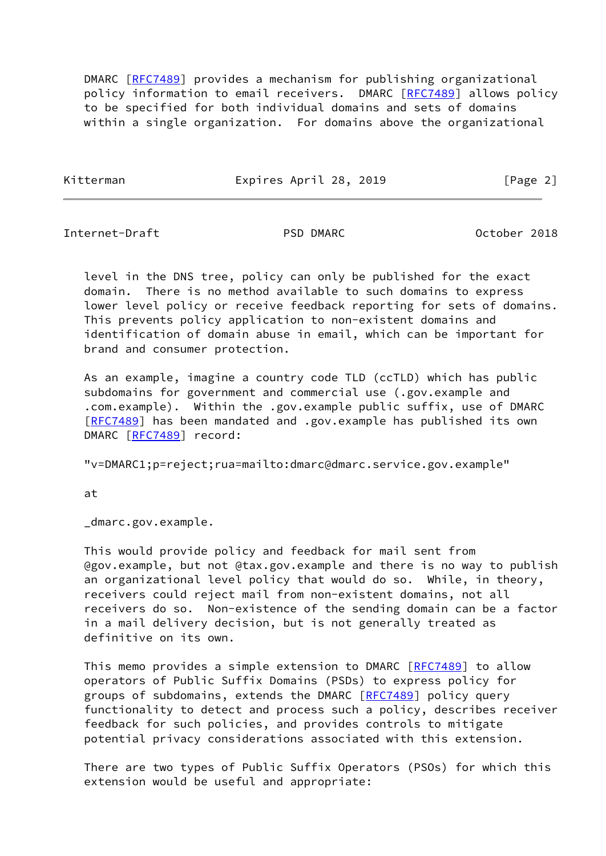DMARC [[RFC7489](https://datatracker.ietf.org/doc/pdf/rfc7489)] provides a mechanism for publishing organizational policy information to email receivers. DMARC [[RFC7489](https://datatracker.ietf.org/doc/pdf/rfc7489)] allows policy to be specified for both individual domains and sets of domains within a single organization. For domains above the organizational

Kitterman Expires April 28, 2019 [Page 2]

Internet-Draft PSD DMARC October 2018

 level in the DNS tree, policy can only be published for the exact domain. There is no method available to such domains to express lower level policy or receive feedback reporting for sets of domains. This prevents policy application to non-existent domains and identification of domain abuse in email, which can be important for brand and consumer protection.

 As an example, imagine a country code TLD (ccTLD) which has public subdomains for government and commercial use (.gov.example and .com.example). Within the .gov.example public suffix, use of DMARC [\[RFC7489](https://datatracker.ietf.org/doc/pdf/rfc7489)] has been mandated and .gov.example has published its own DMARC [[RFC7489](https://datatracker.ietf.org/doc/pdf/rfc7489)] record:

"v=DMARC1;p=reject;rua=mailto:dmarc@dmarc.service.gov.example"

at

\_dmarc.gov.example.

 This would provide policy and feedback for mail sent from @gov.example, but not @tax.gov.example and there is no way to publish an organizational level policy that would do so. While, in theory, receivers could reject mail from non-existent domains, not all receivers do so. Non-existence of the sending domain can be a factor in a mail delivery decision, but is not generally treated as definitive on its own.

This memo provides a simple extension to DMARC [\[RFC7489](https://datatracker.ietf.org/doc/pdf/rfc7489)] to allow operators of Public Suffix Domains (PSDs) to express policy for groups of subdomains, extends the DMARC [\[RFC7489](https://datatracker.ietf.org/doc/pdf/rfc7489)] policy query functionality to detect and process such a policy, describes receiver feedback for such policies, and provides controls to mitigate potential privacy considerations associated with this extension.

 There are two types of Public Suffix Operators (PSOs) for which this extension would be useful and appropriate: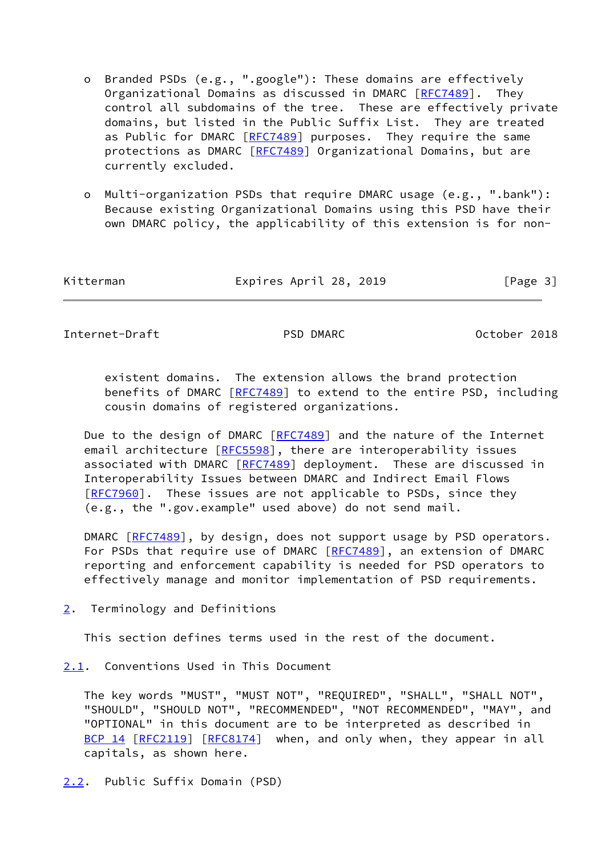- o Branded PSDs (e.g., ".google"): These domains are effectively Organizational Domains as discussed in DMARC [\[RFC7489](https://datatracker.ietf.org/doc/pdf/rfc7489)]. They control all subdomains of the tree. These are effectively private domains, but listed in the Public Suffix List. They are treated as Public for DMARC [\[RFC7489](https://datatracker.ietf.org/doc/pdf/rfc7489)] purposes. They require the same protections as DMARC [\[RFC7489](https://datatracker.ietf.org/doc/pdf/rfc7489)] Organizational Domains, but are currently excluded.
- o Multi-organization PSDs that require DMARC usage (e.g., ".bank"): Because existing Organizational Domains using this PSD have their own DMARC policy, the applicability of this extension is for non-

| Kitterman | Expires April 28, 2019 | [Page 3] |
|-----------|------------------------|----------|
|-----------|------------------------|----------|

<span id="page-3-1"></span>Internet-Draft PSD DMARC October 2018

 existent domains. The extension allows the brand protection benefits of DMARC [\[RFC7489](https://datatracker.ietf.org/doc/pdf/rfc7489)] to extend to the entire PSD, including cousin domains of registered organizations.

 Due to the design of DMARC [[RFC7489\]](https://datatracker.ietf.org/doc/pdf/rfc7489) and the nature of the Internet email architecture [[RFC5598\]](https://datatracker.ietf.org/doc/pdf/rfc5598), there are interoperability issues associated with DMARC [[RFC7489](https://datatracker.ietf.org/doc/pdf/rfc7489)] deployment. These are discussed in Interoperability Issues between DMARC and Indirect Email Flows [\[RFC7960](https://datatracker.ietf.org/doc/pdf/rfc7960)]. These issues are not applicable to PSDs, since they (e.g., the ".gov.example" used above) do not send mail.

DMARC [[RFC7489](https://datatracker.ietf.org/doc/pdf/rfc7489)], by design, does not support usage by PSD operators. For PSDs that require use of DMARC [[RFC7489\]](https://datatracker.ietf.org/doc/pdf/rfc7489), an extension of DMARC reporting and enforcement capability is needed for PSD operators to effectively manage and monitor implementation of PSD requirements.

<span id="page-3-0"></span>[2](#page-3-0). Terminology and Definitions

This section defines terms used in the rest of the document.

<span id="page-3-2"></span>[2.1](#page-3-2). Conventions Used in This Document

 The key words "MUST", "MUST NOT", "REQUIRED", "SHALL", "SHALL NOT", "SHOULD", "SHOULD NOT", "RECOMMENDED", "NOT RECOMMENDED", "MAY", and "OPTIONAL" in this document are to be interpreted as described in [BCP 14](https://datatracker.ietf.org/doc/pdf/bcp14) [\[RFC2119](https://datatracker.ietf.org/doc/pdf/rfc2119)] [\[RFC8174](https://datatracker.ietf.org/doc/pdf/rfc8174)] when, and only when, they appear in all capitals, as shown here.

<span id="page-3-3"></span>[2.2](#page-3-3). Public Suffix Domain (PSD)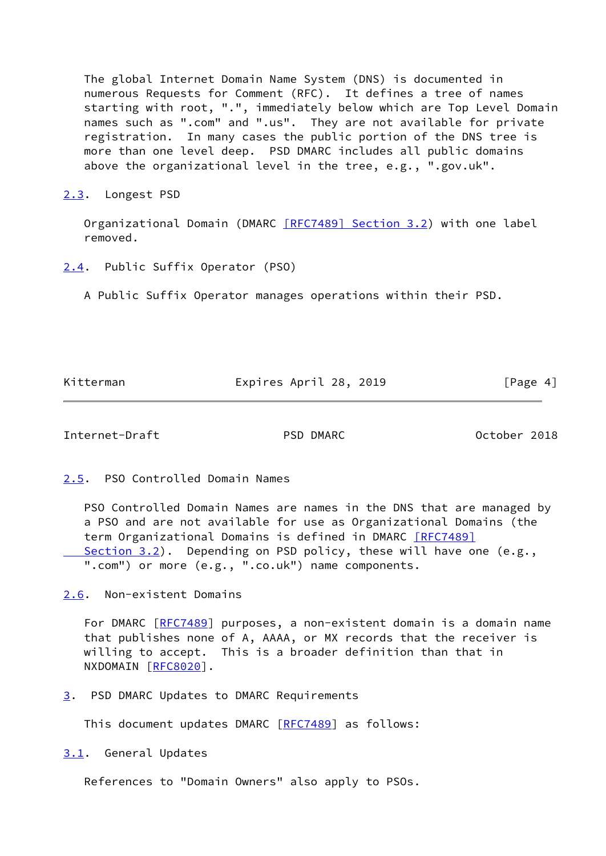The global Internet Domain Name System (DNS) is documented in numerous Requests for Comment (RFC). It defines a tree of names starting with root, ".", immediately below which are Top Level Domain names such as ".com" and ".us". They are not available for private registration. In many cases the public portion of the DNS tree is more than one level deep. PSD DMARC includes all public domains above the organizational level in the tree, e.g., ".gov.uk".

<span id="page-4-0"></span>[2.3](#page-4-0). Longest PSD

Organizational Domain (DMARC **[RFC7489] Section 3.2**) with one label removed.

<span id="page-4-1"></span>[2.4](#page-4-1). Public Suffix Operator (PSO)

A Public Suffix Operator manages operations within their PSD.

Kitterman Expires April 28, 2019 [Page 4]

<span id="page-4-3"></span>Internet-Draft PSD DMARC October 2018

<span id="page-4-2"></span>[2.5](#page-4-2). PSO Controlled Domain Names

 PSO Controlled Domain Names are names in the DNS that are managed by a PSO and are not available for use as Organizational Domains (the term Organizational Domains is defined in DMARC [\[RFC7489\]](https://datatracker.ietf.org/doc/pdf/rfc7489#section-3.2) Section 3.2). Depending on PSD policy, these will have one (e.g., ".com") or more (e.g., ".co.uk") name components.

<span id="page-4-4"></span>[2.6](#page-4-4). Non-existent Domains

For DMARC [[RFC7489](https://datatracker.ietf.org/doc/pdf/rfc7489)] purposes, a non-existent domain is a domain name that publishes none of A, AAAA, or MX records that the receiver is willing to accept. This is a broader definition than that in NXDOMAIN [\[RFC8020](https://datatracker.ietf.org/doc/pdf/rfc8020)].

<span id="page-4-5"></span>[3](#page-4-5). PSD DMARC Updates to DMARC Requirements

This document updates DMARC [\[RFC7489](https://datatracker.ietf.org/doc/pdf/rfc7489)] as follows:

<span id="page-4-6"></span>[3.1](#page-4-6). General Updates

References to "Domain Owners" also apply to PSOs.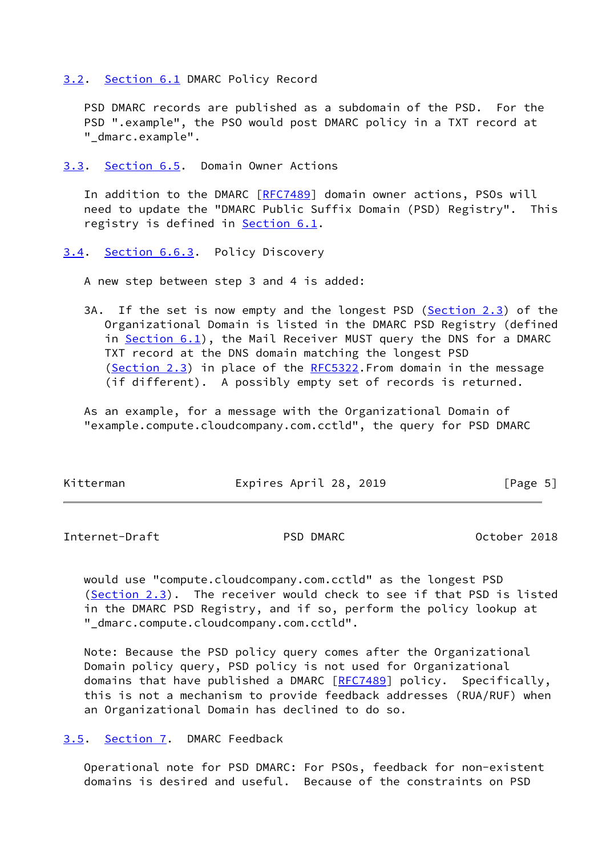<span id="page-5-0"></span>[3.2](#page-5-0). [Section 6.1](#page-7-0) DMARC Policy Record

 PSD DMARC records are published as a subdomain of the PSD. For the PSD ".example", the PSO would post DMARC policy in a TXT record at "\_dmarc.example".

<span id="page-5-1"></span>[3.3](#page-5-1). Section 6.5. Domain Owner Actions

In addition to the DMARC [\[RFC7489](https://datatracker.ietf.org/doc/pdf/rfc7489)] domain owner actions, PSOs will need to update the "DMARC Public Suffix Domain (PSD) Registry". This registry is defined in **[Section 6.1](#page-7-0)**.

<span id="page-5-2"></span>[3.4](#page-5-2). Section 6.6.3. Policy Discovery

A new step between step 3 and 4 is added:

 3A. If the set is now empty and the longest PSD [\(Section 2.3](#page-4-0)) of the Organizational Domain is listed in the DMARC PSD Registry (defined in Section  $6.1$ ), the Mail Receiver MUST query the DNS for a DMARC TXT record at the DNS domain matching the longest PSD ([Section 2.3\)](#page-4-0) in place of the [RFC5322](https://datatracker.ietf.org/doc/pdf/rfc5322). From domain in the message (if different). A possibly empty set of records is returned.

 As an example, for a message with the Organizational Domain of "example.compute.cloudcompany.com.cctld", the query for PSD DMARC

| Kitterman | Expires April 28, 2019 | [Page 5] |
|-----------|------------------------|----------|
|           |                        |          |

<span id="page-5-4"></span>Internet-Draft PSD DMARC October 2018

 would use "compute.cloudcompany.com.cctld" as the longest PSD [\(Section 2.3](#page-4-0)). The receiver would check to see if that PSD is listed in the DMARC PSD Registry, and if so, perform the policy lookup at "\_dmarc.compute.cloudcompany.com.cctld".

 Note: Because the PSD policy query comes after the Organizational Domain policy query, PSD policy is not used for Organizational domains that have published a DMARC [\[RFC7489](https://datatracker.ietf.org/doc/pdf/rfc7489)] policy. Specifically, this is not a mechanism to provide feedback addresses (RUA/RUF) when an Organizational Domain has declined to do so.

### <span id="page-5-3"></span>[3.5](#page-5-3). [Section 7.](#page-7-1) DMARC Feedback

 Operational note for PSD DMARC: For PSOs, feedback for non-existent domains is desired and useful. Because of the constraints on PSD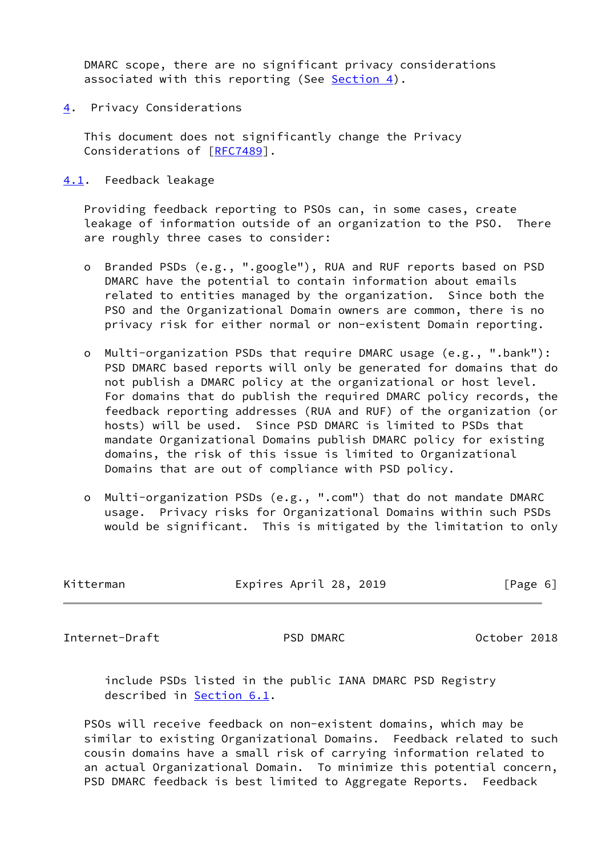DMARC scope, there are no significant privacy considerations associated with this reporting (See [Section 4\)](#page-6-0).

<span id="page-6-0"></span>[4](#page-6-0). Privacy Considerations

 This document does not significantly change the Privacy Considerations of [[RFC7489](https://datatracker.ietf.org/doc/pdf/rfc7489)].

<span id="page-6-1"></span>[4.1](#page-6-1). Feedback leakage

 Providing feedback reporting to PSOs can, in some cases, create leakage of information outside of an organization to the PSO. There are roughly three cases to consider:

- o Branded PSDs (e.g., ".google"), RUA and RUF reports based on PSD DMARC have the potential to contain information about emails related to entities managed by the organization. Since both the PSO and the Organizational Domain owners are common, there is no privacy risk for either normal or non-existent Domain reporting.
- o Multi-organization PSDs that require DMARC usage (e.g., ".bank"): PSD DMARC based reports will only be generated for domains that do not publish a DMARC policy at the organizational or host level. For domains that do publish the required DMARC policy records, the feedback reporting addresses (RUA and RUF) of the organization (or hosts) will be used. Since PSD DMARC is limited to PSDs that mandate Organizational Domains publish DMARC policy for existing domains, the risk of this issue is limited to Organizational Domains that are out of compliance with PSD policy.
- o Multi-organization PSDs (e.g., ".com") that do not mandate DMARC usage. Privacy risks for Organizational Domains within such PSDs would be significant. This is mitigated by the limitation to only

<span id="page-6-2"></span>

| Kitterman      | Expires April 28, 2019 | [Page 6]     |  |
|----------------|------------------------|--------------|--|
|                |                        |              |  |
| Internet-Draft | PSD DMARC              | October 2018 |  |

 include PSDs listed in the public IANA DMARC PSD Registry described in [Section 6.1](#page-7-0).

 PSOs will receive feedback on non-existent domains, which may be similar to existing Organizational Domains. Feedback related to such cousin domains have a small risk of carrying information related to an actual Organizational Domain. To minimize this potential concern, PSD DMARC feedback is best limited to Aggregate Reports. Feedback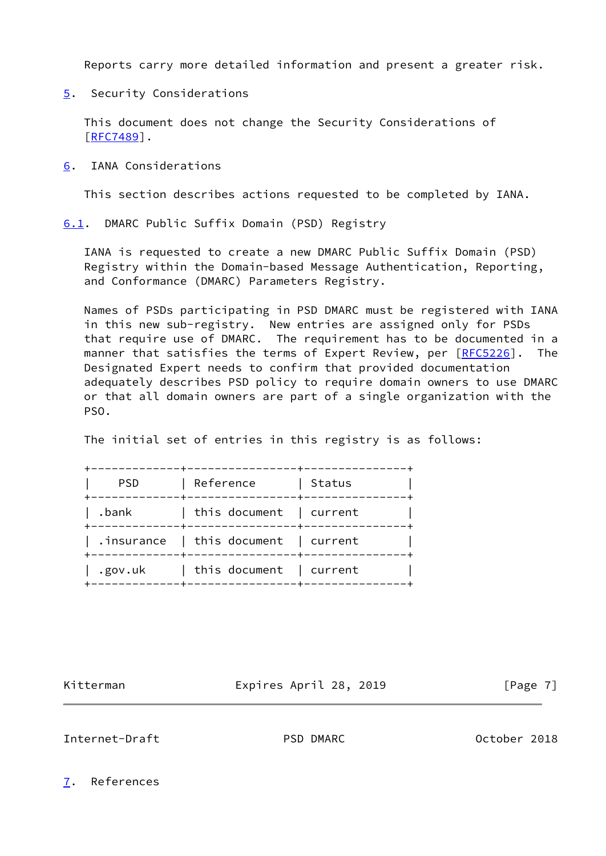Reports carry more detailed information and present a greater risk.

<span id="page-7-2"></span>[5](#page-7-2). Security Considerations

 This document does not change the Security Considerations of [\[RFC7489](https://datatracker.ietf.org/doc/pdf/rfc7489)].

<span id="page-7-3"></span>[6](#page-7-3). IANA Considerations

This section describes actions requested to be completed by IANA.

<span id="page-7-0"></span>[6.1](#page-7-0). DMARC Public Suffix Domain (PSD) Registry

 IANA is requested to create a new DMARC Public Suffix Domain (PSD) Registry within the Domain-based Message Authentication, Reporting, and Conformance (DMARC) Parameters Registry.

 Names of PSDs participating in PSD DMARC must be registered with IANA in this new sub-registry. New entries are assigned only for PSDs that require use of DMARC. The requirement has to be documented in a manner that satisfies the terms of Expert Review, per [[RFC5226](https://datatracker.ietf.org/doc/pdf/rfc5226)]. The Designated Expert needs to confirm that provided documentation adequately describes PSD policy to require domain owners to use DMARC or that all domain owners are part of a single organization with the PSO.

The initial set of entries in this registry is as follows:

| <b>PSD</b> | Reference                               | Status |
|------------|-----------------------------------------|--------|
|            |                                         |        |
| .bank      | this document   current                 |        |
|            | $.$ insurance   this document   current |        |
| .gov.uk    | this document   current                 |        |

Kitterman **Expires April 28, 2019** [Page 7]

<span id="page-7-4"></span>Internet-Draft PSD DMARC October 2018

<span id="page-7-1"></span>[7](#page-7-1). References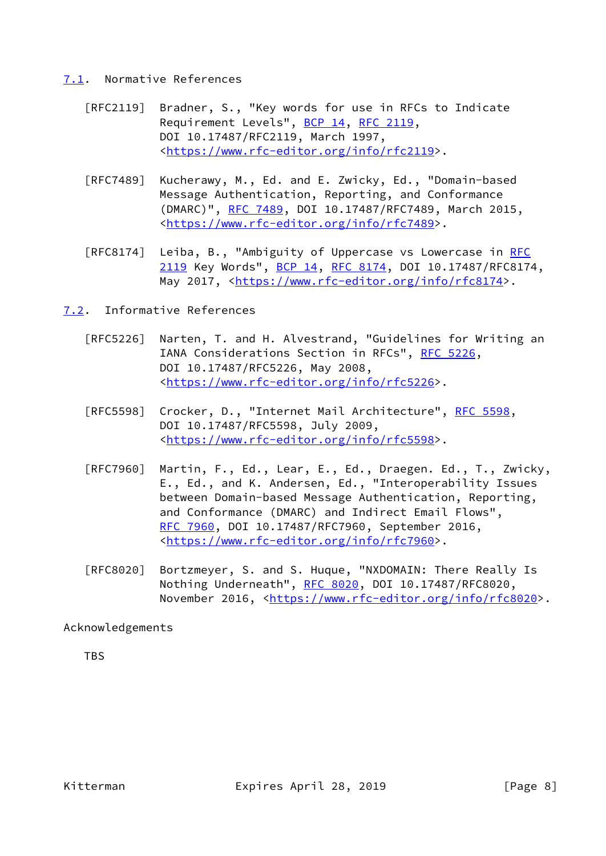### <span id="page-8-0"></span>[7.1](#page-8-0). Normative References

- [RFC2119] Bradner, S., "Key words for use in RFCs to Indicate Requirement Levels", [BCP 14](https://datatracker.ietf.org/doc/pdf/bcp14), [RFC 2119](https://datatracker.ietf.org/doc/pdf/rfc2119), DOI 10.17487/RFC2119, March 1997, <[https://www.rfc-editor.org/info/rfc2119>](https://www.rfc-editor.org/info/rfc2119).
- [RFC7489] Kucherawy, M., Ed. and E. Zwicky, Ed., "Domain-based Message Authentication, Reporting, and Conformance (DMARC)", [RFC 7489](https://datatracker.ietf.org/doc/pdf/rfc7489), DOI 10.17487/RFC7489, March 2015, <[https://www.rfc-editor.org/info/rfc7489>](https://www.rfc-editor.org/info/rfc7489).
- [RFC8174] Leiba, B., "Ambiguity of Uppercase vs Lowercase in [RFC](https://datatracker.ietf.org/doc/pdf/rfc2119) [2119](https://datatracker.ietf.org/doc/pdf/rfc2119) Key Words", [BCP 14](https://datatracker.ietf.org/doc/pdf/bcp14), [RFC 8174,](https://datatracker.ietf.org/doc/pdf/rfc8174) DOI 10.17487/RFC8174, May 2017, [<https://www.rfc-editor.org/info/rfc8174](https://www.rfc-editor.org/info/rfc8174)>.
- <span id="page-8-1"></span>[7.2](#page-8-1). Informative References
	- [RFC5226] Narten, T. and H. Alvestrand, "Guidelines for Writing an IANA Considerations Section in RFCs", [RFC 5226](https://datatracker.ietf.org/doc/pdf/rfc5226), DOI 10.17487/RFC5226, May 2008, <[https://www.rfc-editor.org/info/rfc5226>](https://www.rfc-editor.org/info/rfc5226).
	- [RFC5598] Crocker, D., "Internet Mail Architecture", [RFC 5598](https://datatracker.ietf.org/doc/pdf/rfc5598), DOI 10.17487/RFC5598, July 2009, <[https://www.rfc-editor.org/info/rfc5598>](https://www.rfc-editor.org/info/rfc5598).
	- [RFC7960] Martin, F., Ed., Lear, E., Ed., Draegen. Ed., T., Zwicky, E., Ed., and K. Andersen, Ed., "Interoperability Issues between Domain-based Message Authentication, Reporting, and Conformance (DMARC) and Indirect Email Flows", [RFC 7960,](https://datatracker.ietf.org/doc/pdf/rfc7960) DOI 10.17487/RFC7960, September 2016, <[https://www.rfc-editor.org/info/rfc7960>](https://www.rfc-editor.org/info/rfc7960).
	- [RFC8020] Bortzmeyer, S. and S. Huque, "NXDOMAIN: There Really Is Nothing Underneath", [RFC 8020](https://datatracker.ietf.org/doc/pdf/rfc8020), DOI 10.17487/RFC8020, November 2016, <<https://www.rfc-editor.org/info/rfc8020>>.

Acknowledgements

**TBS**